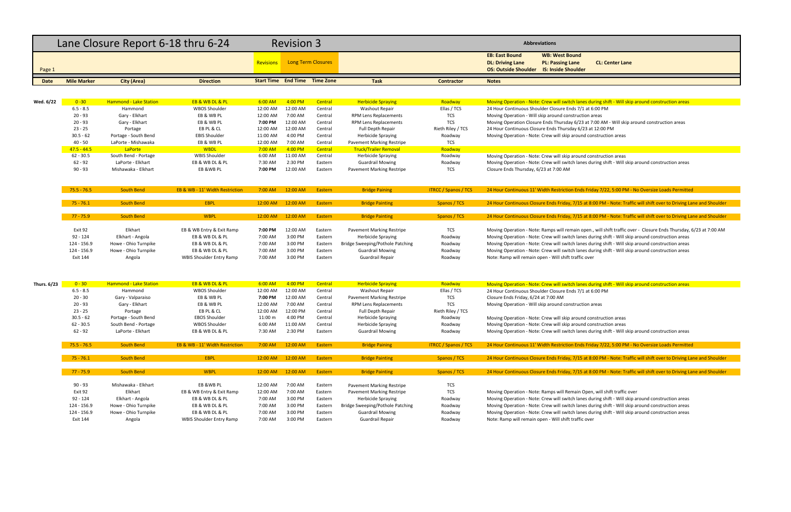## **Driving Lane PL: Passing Lane CL: Center Lane**

## nes during shift - Will skip around construction areas

23 at 7:00 AM - Will skip around construction areas

nes during shift ‐ Will skip around construction areas

## nds Friday 7/22, 5:00 PM - No Oversize Loads Permitted

ES at 8:00 PM - Note: Traffic will shift over to Driving Lane and Shoulder

15 at 8:00 PM - Note: Traffic will shift over to Driving Lane and Shoulder

n open., will shift traffic over ‐ Closure Ends Thursday, 6/23 at 7:00 AM elakhart Eangola EB angona Engines<br>Internation areas nes during shift ‐ Will skip around construction areas anes during shift ‐ Will skip around construction areas

extation East during shift – Will skip around construction areas **Moving Roadway Moving Roadway Moving Spraying** 

anes during shift ‐ Will skip around construction areas

nds Friday 7/22, 5:00 PM - No Oversize Loads Permitted

15 at 8:00 PM - Note: Traffic will shift over to Driving Lane and Shoulder

5 at 8:00 PM - Note: Traffic will shift over to Driving Lane and Shoulder

n Open, will shift traffic over

nes during shift ‐ Will skip around construction areas nes during shift ‐ Will skip around construction areas nes during shift ‐ Will skip around construction areas

|             |                         | Lane Closure Report 6-18 thru 6-24 |                                            |                    | <b>Revision 3</b>  |                                      |                                             |                             | <b>Abbreviations</b>                                                                                                         |
|-------------|-------------------------|------------------------------------|--------------------------------------------|--------------------|--------------------|--------------------------------------|---------------------------------------------|-----------------------------|------------------------------------------------------------------------------------------------------------------------------|
| Page 1      |                         |                                    |                                            | <b>Revisions</b>   |                    | <b>Long Term Closures</b>            |                                             |                             | <b>EB: East Bound</b><br><b>WB: West Bound</b><br><b>DL: Driving Lane</b><br><b>PL: Passing Lane</b><br><b>CL: Center La</b> |
| Date        | <b>Mile Marker</b>      | <b>City (Area)</b>                 | <b>Direction</b>                           |                    |                    | <b>Start Time End Time Time Zone</b> | <b>Task</b>                                 | <b>Contractor</b>           | <b>Notes</b>                                                                                                                 |
|             |                         |                                    |                                            |                    |                    |                                      |                                             |                             |                                                                                                                              |
| Wed. 6/22   | $0 - 30$                | <b>Hammond - Lake Station</b>      | EB & WB DL & PL                            | 6:00 AM            | 4:00 PM            | Central                              | <b>Herbicide Spraying</b>                   | Roadway                     | Moving Operation - Note: Crew will switch lanes during shift - Will                                                          |
|             | $6.5 - 8.5$             | Hammond                            | <b>WBOS Shoulder</b>                       | 12:00 AM           | 12:00 AM           | Central                              | <b>Washout Repair</b>                       | Ellas / TCS                 | 24 Hour Continuous Shoulder Closure Ends 7/1 at 6:00 PM                                                                      |
|             | $20 - 93$               | Gary - Elkhart                     | EB & WB PL                                 | 12:00 AM           | 7:00 AM            | Central                              | <b>RPM Lens Replacements</b>                | <b>TCS</b>                  | Moving Operation - Will skip around construction areas                                                                       |
|             | $20 - 93$               | Gary - Elkhart                     | EB & WB PL                                 | 7:00 PM            | 12:00 AM           | Central                              | RPM Lens Replacements                       | <b>TCS</b>                  | Moving Operation Closure Ends Thursday 6/23 at 7:00 AM - Will sk                                                             |
|             | $23 - 25$               | Portage                            | EB PL & CL                                 | 12:00 AM           | 12:00 AM           | Central                              | <b>Full Depth Repair</b>                    | Rieth Riley / TCS           | 24 Hour Continuous Closure Ends Thursday 6/23 at 12:00 PM                                                                    |
|             | $30.5 - 62$             | Portage - South Bend               | <b>EBIS Shoulder</b>                       | 11:00 AM           | 4:00 PM            | Central                              | <b>Herbicide Spraying</b>                   | Roadway                     | Moving Operation - Note: Crew will skip around construction areas                                                            |
|             | $40 - 50$               | LaPorte - Mishawaka                | EB & WB PL                                 | 12:00 AM           | 7:00 AM            | Central                              | Pavement Marking Restripe                   | <b>TCS</b>                  |                                                                                                                              |
|             | $47.5 - 44.5$           | LaPorte                            | <b>WBDL</b>                                | $7:00$ AM          | 4:00 PM            | Central                              | <b>Truck/Trailer Removal</b>                | Roadway                     |                                                                                                                              |
|             | $62 - 30.5$             | South Bend - Portage               | <b>WBIS Shoulder</b>                       | 6:00 AM            | 11:00 AM           | Central                              | <b>Herbicide Spraying</b>                   | Roadway                     | Moving Operation - Note: Crew will skip around construction areas                                                            |
|             | $62 - 92$               | LaPorte - Elkhart                  | EB & WB DL & PL                            | 7:30 AM            | 2:30 PM            | Eastern                              | <b>Guardrail Mowing</b>                     | Roadway                     | Moving Operation - Note: Crew will switch lanes during shift - Will                                                          |
|             | $90 - 93$               | Mishawaka - Elkhart                | EB &WB PL                                  | 7:00 PM            | 12:00 AM           | Eastern                              | <b>Pavement Marking Restripe</b>            | TCS                         | Closure Ends Thursday, 6/23 at 7:00 AM                                                                                       |
|             | $75.5 - 76.5$           | <b>South Bend</b>                  | <b>EB &amp; WB - 11' Width Restriction</b> | 7:00 AM            | 12:00 AM           | Eastern                              | <b>Bridge Paining</b>                       | <b>ITRCC / Spanos / TCS</b> | 24 Hour Continuous 11' Width Restriction Ends Friday 7/22, 5:00 P                                                            |
|             | $75 - 76.1$             | <b>South Bend</b>                  | <b>EBPL</b>                                | 12:00 AM           | 12:00 AM           | Eastern                              | <b>Bridge Painting</b>                      | Spanos / TCS                | 24 Hour Continuous Closure Ends Friday, 7/15 at 8:00 PM - Note: T                                                            |
|             | $77 - 75.9$             | <b>South Bend</b>                  | <b>WBPL</b>                                | 12:00 AM           | 12:00 AM           | Eastern                              | <b>Bridge Painting</b>                      | Spanos / TCS                | 24 Hour Continuous Closure Ends Friday, 7/15 at 8:00 PM - Note: T                                                            |
|             |                         |                                    |                                            |                    |                    |                                      |                                             |                             |                                                                                                                              |
|             | Exit 92                 | Elkhart                            | EB & WB Entry & Exit Ramp                  | 7:00 PM            | 12:00 AM           | Eastern                              | <b>Pavement Marking Restripe</b>            | <b>TCS</b>                  | Moving Operation - Note: Ramps will remain open., will shift traffic                                                         |
|             | $92 - 124$              | Elkhart - Angola                   | EB & WB DL & PL                            | 7:00 AM            | 3:00 PM            | Eastern                              | <b>Herbicide Spraying</b>                   | Roadway                     | Moving Operation - Note: Crew will switch lanes during shift - Will                                                          |
|             | 124 - 156.9             | Howe - Ohio Turnpike               | EB & WB DL & PL<br>EB & WB DL & PL         | 7:00 AM            | 3:00 PM            | Eastern                              | Bridge Sweeping/Pothole Patching            | Roadway                     | Moving Operation - Note: Crew will switch lanes during shift - Will                                                          |
|             | 124 - 156.9<br>Exit 144 | Howe - Ohio Turnpike<br>Angola     | <b>WBIS Shoulder Entry Ramp</b>            | 7:00 AM<br>7:00 AM | 3:00 PM<br>3:00 PM | Eastern<br>Eastern                   | <b>Guardrail Mowing</b><br>Guardrail Repair | Roadway<br>Roadway          | Moving Operation - Note: Crew will switch lanes during shift - Will<br>Note: Ramp will remain open - Will shift traffic over |
|             |                         |                                    |                                            |                    |                    |                                      |                                             |                             |                                                                                                                              |
| Thurs. 6/23 | $0 - 30$                | <b>Hammond - Lake Station</b>      | EB & WB DL & PL                            | $6:00$ AM          | 4:00 PM            | Central                              | <b>Herbicide Spraying</b>                   | Roadway                     | Moving Operation - Note: Crew will switch lanes during shift - Will                                                          |
|             | $6.5 - 8.5$             | Hammond                            | <b>WBOS Shoulder</b>                       | 12:00 AM           | 12:00 AM           | Central                              | <b>Washout Repair</b>                       | Ellas / TCS                 | 24 Hour Continuous Shoulder Closure Ends 7/1 at 6:00 PM                                                                      |
|             | $20 - 30$               | Gary - Valparaiso                  | EB & WB PL                                 | 7:00 PM            | 12:00 AM           | Central                              | Pavement Marking Restripe                   | <b>TCS</b>                  | Closure Ends Friday, 6/24 at 7:00 AM                                                                                         |
|             | $20 - 93$               | Gary - Elkhart                     | EB & WB PL                                 | 12:00 AM           | 7:00 AM            | Central                              | RPM Lens Replacements                       | <b>TCS</b>                  | Moving Operation - Will skip around construction areas                                                                       |
|             | $23 - 25$               | Portage                            | EB PL & CL                                 | 12:00 AM           | 12:00 PM           | Central                              | <b>Full Depth Repair</b>                    | Rieth Riley / TCS           |                                                                                                                              |
|             | $30.5 - 62$             | Portage - South Bend               | <b>EBOS Shoulder</b>                       | 11:00 m            | 4:00 PM            | Central                              | <b>Herbicide Spraying</b>                   | Roadway                     | Moving Operation - Note: Crew will skip around construction areas                                                            |
|             | $62 - 30.5$             | South Bend - Portage               | <b>WBOS Shoulder</b>                       | 6:00 AM            | 11:00 AM           | Central                              | <b>Herbicide Spraying</b>                   | Roadway                     | Moving Operation - Note: Crew will skip around construction areas                                                            |
|             | $62 - 92$               | LaPorte - Elkhart                  | EB & WB DL & PL                            | 7:30 AM            | 2:30 PM            | Eastern                              | <b>Guardrail Mowing</b>                     | Roadway                     | Moving Operation - Note: Crew will switch lanes during shift - Will                                                          |
|             | $75.5 - 76.5$           | <b>South Bend</b>                  | EB & WB - 11' Width Restriction            | 7:00 AM            | 12:00 AM           | Eastern                              | <b>Bridge Paining</b>                       | <b>ITRCC / Spanos / TCS</b> | 24 Hour Continuous 11' Width Restriction Ends Friday 7/22, 5:00 P                                                            |
|             | $75 - 76.1$             | <b>South Bend</b>                  | <b>EBPL</b>                                | 12:00 AM           | 12:00 AM           | Eastern                              | <b>Bridge Painting</b>                      | Spanos / TCS                | 24 Hour Continuous Closure Ends Friday, 7/15 at 8:00 PM - Note: T                                                            |
|             | $77 - 75.9$             | <b>South Bend</b>                  | <b>WBPL</b>                                | 12:00 AM           | 12:00 AM           | Eastern                              | <b>Bridge Painting</b>                      | Spanos / TCS                | 24 Hour Continuous Closure Ends Friday, 7/15 at 8:00 PM - Note: T                                                            |
|             | $90 - 93$               | Mishawaka - Elkhart                | EB &WB PL                                  | 12:00 AM           | 7:00 AM            | Eastern                              | <b>Pavement Marking Restripe</b>            | TCS                         |                                                                                                                              |
|             | Exit 92                 | Elkhart                            | EB & WB Entry & Exit Ramp                  | 12:00 AM           | 7:00 AM            | Eastern                              | Pavement Marking Restripe                   | <b>TCS</b>                  | Moving Operation - Note: Ramps will Remain Open, will shift traffic                                                          |
|             | 92 - 124                | Elkhart - Angola                   | EB & WB DL & PL                            | 7:00 AM            | 3:00 PM            | Eastern                              | <b>Herbicide Spraying</b>                   | Roadway                     | Moving Operation - Note: Crew will switch lanes during shift - Will                                                          |
|             | 124 - 156.9             | Howe - Ohio Turnpike               | EB & WB DL & PL                            | 7:00 AM            | 3:00 PM            | Eastern                              | Bridge Sweeping/Pothole Patching            | Roadway                     | Moving Operation - Note: Crew will switch lanes during shift - Will                                                          |
|             | 124 - 156.9             | Howe - Ohio Turnpike               | EB & WB DL & PL                            | 7:00 AM            | 3:00 PM            | Eastern                              | <b>Guardrail Mowing</b>                     | Roadway                     | Moving Operation - Note: Crew will switch lanes during shift - Will                                                          |
|             | <b>Exit 144</b>         | Angola                             | <b>WBIS Shoulder Entry Ramp</b>            | 7:00 AM            | 3:00 PM            | Eastern                              | Guardrail Repair                            | Roadway                     | Note: Ramp will remain open - Will shift traffic over                                                                        |